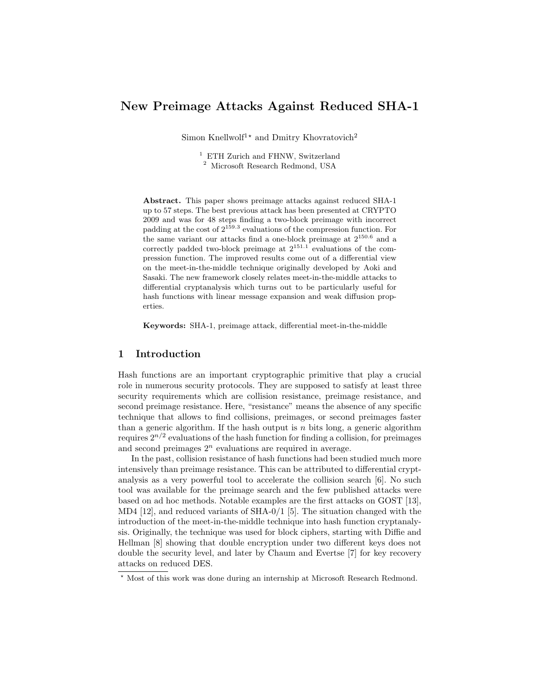# New Preimage Attacks Against Reduced SHA-1

Simon Knellwolf<sup>1</sup><sup>\*</sup> and Dmitry Khovratovich<sup>2</sup>

<sup>1</sup> ETH Zurich and FHNW, Switzerland <sup>2</sup> Microsoft Research Redmond, USA

Abstract. This paper shows preimage attacks against reduced SHA-1 up to 57 steps. The best previous attack has been presented at CRYPTO 2009 and was for 48 steps finding a two-block preimage with incorrect padding at the cost of  $2^{159.3}$  evaluations of the compression function. For the same variant our attacks find a one-block preimage at  $2^{150.6}$  and a correctly padded two-block preimage at  $2^{151.1}$  evaluations of the compression function. The improved results come out of a differential view on the meet-in-the-middle technique originally developed by Aoki and Sasaki. The new framework closely relates meet-in-the-middle attacks to differential cryptanalysis which turns out to be particularly useful for hash functions with linear message expansion and weak diffusion properties.

Keywords: SHA-1, preimage attack, differential meet-in-the-middle

## 1 Introduction

Hash functions are an important cryptographic primitive that play a crucial role in numerous security protocols. They are supposed to satisfy at least three security requirements which are collision resistance, preimage resistance, and second preimage resistance. Here, "resistance" means the absence of any specific technique that allows to find collisions, preimages, or second preimages faster than a generic algorithm. If the hash output is n bits long, a generic algorithm requires  $2^{n/2}$  evaluations of the hash function for finding a collision, for preimages and second preimages  $2<sup>n</sup>$  evaluations are required in average.

In the past, collision resistance of hash functions had been studied much more intensively than preimage resistance. This can be attributed to differential cryptanalysis as a very powerful tool to accelerate the collision search [6]. No such tool was available for the preimage search and the few published attacks were based on ad hoc methods. Notable examples are the first attacks on GOST [13], MD4 [12], and reduced variants of SHA-0/1 [5]. The situation changed with the introduction of the meet-in-the-middle technique into hash function cryptanalysis. Originally, the technique was used for block ciphers, starting with Diffie and Hellman [8] showing that double encryption under two different keys does not double the security level, and later by Chaum and Evertse [7] for key recovery attacks on reduced DES.

<sup>⋆</sup> Most of this work was done during an internship at Microsoft Research Redmond.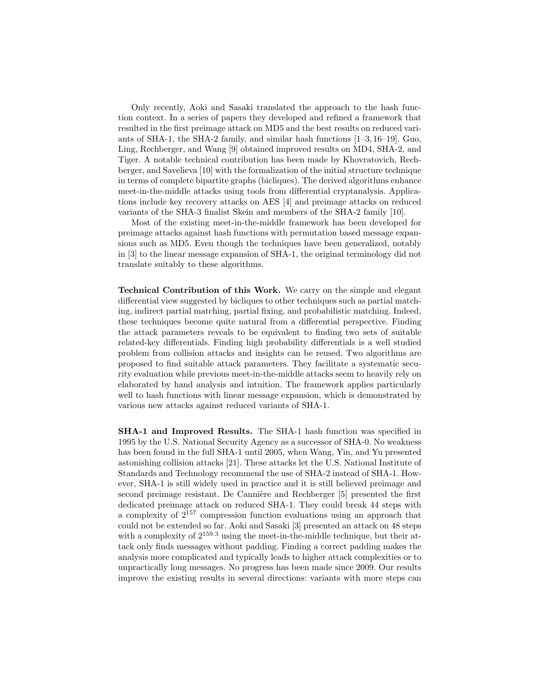Only recently, Aoki and Sasaki translated the approach to the hash function context. In a series of papers they developed and refined a framework that resulted in the first preimage attack on MD5 and the best results on reduced variants of SHA-1, the SHA-2 family, and similar hash functions [1–3, 16–19]. Guo, Ling, Rechberger, and Wang [9] obtained improved results on MD4, SHA-2, and Tiger. A notable technical contribution has been made by Khovratovich, Rechberger, and Savelieva [10] with the formalization of the initial structure technique in terms of complete bipartite graphs (bicliques). The derived algorithms enhance meet-in-the-middle attacks using tools from differential cryptanalysis. Applications include key recovery attacks on AES [4] and preimage attacks on reduced variants of the SHA-3 finalist Skein and members of the SHA-2 family [10].

Most of the existing meet-in-the-middle framework has been developed for preimage attacks against hash functions with permutation based message expansions such as MD5. Even though the techniques have been generalized, notably in [3] to the linear message expansion of SHA-1, the original terminology did not translate suitably to these algorithms.

Technical Contribution of this Work. We carry on the simple and elegant differential view suggested by bicliques to other techniques such as partial matching, indirect partial matching, partial fixing, and probabilistic matching. Indeed, these techniques become quite natural from a differential perspective. Finding the attack parameters reveals to be equivalent to finding two sets of suitable related-key differentials. Finding high probability differentials is a well studied problem from collision attacks and insights can be reused. Two algorithms are proposed to find suitable attack parameters. They facilitate a systematic security evaluation while previous meet-in-the-middle attacks seem to heavily rely on elaborated by hand analysis and intuition. The framework applies particularly well to hash functions with linear message expansion, which is demonstrated by various new attacks against reduced variants of SHA-1.

SHA-1 and Improved Results. The SHA-1 hash function was specified in 1995 by the U.S. National Security Agency as a successor of SHA-0. No weakness has been found in the full SHA-1 until 2005, when Wang, Yin, and Yu presented astonishing collision attacks [21]. These attacks let the U.S. National Institute of Standards and Technology recommend the use of SHA-2 instead of SHA-1. However, SHA-1 is still widely used in practice and it is still believed preimage and second preimage resistant. De Cannière and Rechberger [5] presented the first dedicated preimage attack on reduced SHA-1. They could break 44 steps with a complexity of  $2^{157}$  compression function evaluations using an approach that could not be extended so far. Aoki and Sasaki [3] presented an attack on 48 steps with a complexity of  $2^{159.3}$  using the meet-in-the-middle technique, but their attack only finds messages without padding. Finding a correct padding makes the analysis more complicated and typically leads to higher attack complexities or to unpractically long messages. No progress has been made since 2009. Our results improve the existing results in several directions: variants with more steps can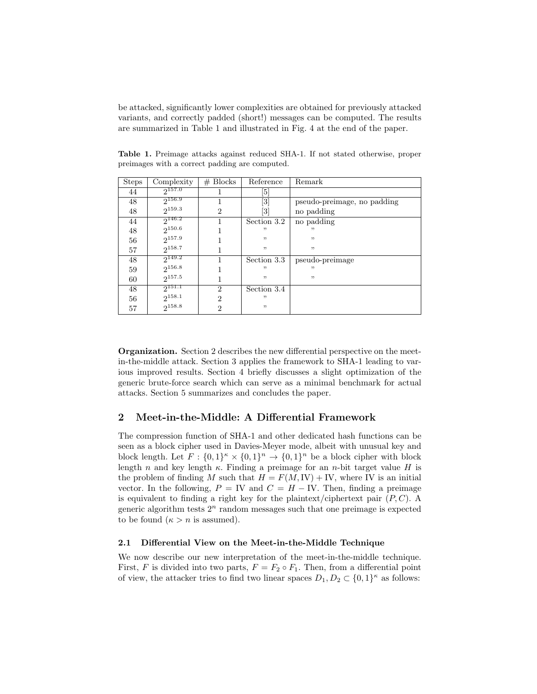be attacked, significantly lower complexities are obtained for previously attacked variants, and correctly padded (short!) messages can be computed. The results are summarized in Table 1 and illustrated in Fig. 4 at the end of the paper.

| <b>Steps</b> | Complexity  | $# \, \text{Blocks}$ | Reference                    | Remark                      |
|--------------|-------------|----------------------|------------------------------|-----------------------------|
| 44           | $2^{157.0}$ |                      | [5]                          |                             |
| 48           | $2^{156.9}$ |                      | $\left\lceil 3 \right\rceil$ | pseudo-preimage, no padding |
| 48           | $2^{159.3}$ | $\overline{2}$       | [3]                          | no padding                  |
| 44           | $2^{146.2}$ |                      | Section 3.2                  | no padding                  |
| 48           | $2^{150.6}$ |                      | "                            | "                           |
| 56           | $2^{157.9}$ |                      | "                            | , 2                         |
| 57           | $2^{158.7}$ |                      | "                            | , ,                         |
| 48           | $2^{149.2}$ |                      | Section 3.3                  | pseudo-preimage             |
| 59           | $2^{156.8}$ |                      | "                            | "                           |
| 60           | $2^{157.5}$ |                      | "                            | , ,                         |
| 48           | $2^{151.1}$ | $\overline{2}$       | Section 3.4                  |                             |
| 56           | $2^{158.1}$ | $\mathfrak{D}$       | "                            |                             |
| 57           | $2^{158.8}$ | 2                    | ,,                           |                             |

Table 1. Preimage attacks against reduced SHA-1. If not stated otherwise, proper preimages with a correct padding are computed.

Organization. Section 2 describes the new differential perspective on the meetin-the-middle attack. Section 3 applies the framework to SHA-1 leading to various improved results. Section 4 briefly discusses a slight optimization of the generic brute-force search which can serve as a minimal benchmark for actual attacks. Section 5 summarizes and concludes the paper.

# 2 Meet-in-the-Middle: A Differential Framework

The compression function of SHA-1 and other dedicated hash functions can be seen as a block cipher used in Davies-Meyer mode, albeit with unusual key and block length. Let  $F: \{0,1\}^n \times \{0,1\}^n \to \{0,1\}^n$  be a block cipher with block length n and key length  $\kappa$ . Finding a preimage for an n-bit target value H is the problem of finding M such that  $H = F(M, IV) + IV$ , where IV is an initial vector. In the following,  $P = IV$  and  $C = H - IV$ . Then, finding a preimage is equivalent to finding a right key for the plaintext/ciphertext pair  $(P, C)$ . A generic algorithm tests  $2^n$  random messages such that one preimage is expected to be found  $(\kappa > n$  is assumed).

#### 2.1 Differential View on the Meet-in-the-Middle Technique

We now describe our new interpretation of the meet-in-the-middle technique. First, F is divided into two parts,  $F = F_2 \circ F_1$ . Then, from a differential point of view, the attacker tries to find two linear spaces  $D_1, D_2 \subset \{0,1\}^{\kappa}$  as follows: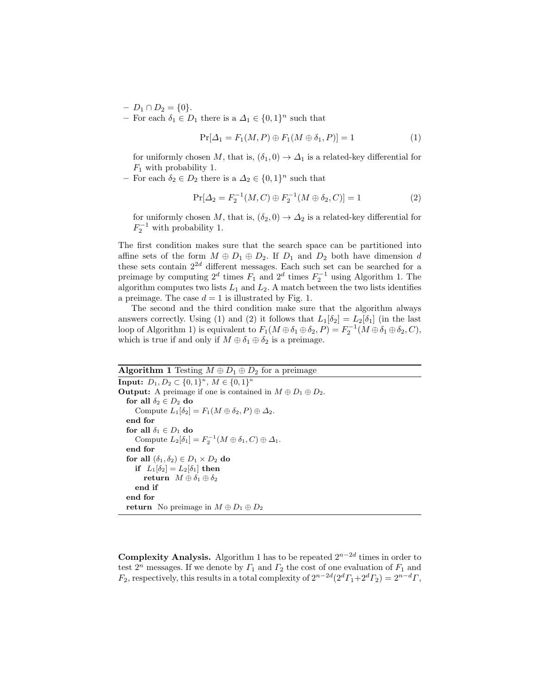- $D_1 \cap D_2 = \{0\}.$
- $-$  For each  $δ₁ ∈ D₁$  there is a  $Δ₁ ∈ {0, 1}^n$  such that

$$
\Pr[\Delta_1 = F_1(M, P) \oplus F_1(M \oplus \delta_1, P)] = 1 \tag{1}
$$

for uniformly chosen M, that is,  $(\delta_1, 0) \rightarrow \Delta_1$  is a related-key differential for  $F_1$  with probability 1.

 $-$  For each  $δ<sub>2</sub> ∈ D<sub>2</sub>$  there is a  $Δ<sub>2</sub> ∈ {0, 1}<sup>n</sup>$  such that

$$
\Pr[\Delta_2 = F_2^{-1}(M, C) \oplus F_2^{-1}(M \oplus \delta_2, C)] = 1 \tag{2}
$$

for uniformly chosen M, that is,  $(\delta_2, 0) \rightarrow \Delta_2$  is a related-key differential for  $F_2^{-1}$  with probability 1.

The first condition makes sure that the search space can be partitioned into affine sets of the form  $M \oplus D_1 \oplus D_2$ . If  $D_1$  and  $D_2$  both have dimension d these sets contain  $2^{2d}$  different messages. Each such set can be searched for a preimage by computing  $2^d$  times  $F_1$  and  $2^d$  times  $F_2^{-1}$  using Algorithm 1. The algorithm computes two lists  $L_1$  and  $L_2$ . A match between the two lists identifies a preimage. The case  $d = 1$  is illustrated by Fig. 1.

The second and the third condition make sure that the algorithm always answers correctly. Using (1) and (2) it follows that  $L_1[\delta_2] = L_2[\delta_1]$  (in the last loop of Algorithm 1) is equivalent to  $F_1(M \oplus \delta_1 \oplus \delta_2, P) = F_2^{-1}(M \oplus \delta_1 \oplus \delta_2, C)$ , which is true if and only if  $M \oplus \delta_1 \oplus \delta_2$  is a preimage.

### Algorithm 1 Testing  $M \oplus D_1 \oplus D_2$  for a preimage

**Input:**  $D_1, D_2 \subset \{0, 1\}^{\kappa}, M \in \{0, 1\}^{\kappa}$ **Output:** A preimage if one is contained in  $M \oplus D_1 \oplus D_2$ . for all  $\delta_2 \in D_2$  do Compute  $L_1[\delta_2] = F_1(M \oplus \delta_2, P) \oplus \Delta_2$ . end for for all  $\delta_1 \in D_1$  do Compute  $L_2[\delta_1] = F_2^{-1}(M \oplus \delta_1, C) \oplus \Delta_1$ . end for for all  $(\delta_1, \delta_2) \in D_1 \times D_2$  do if  $L_1[\delta_2] = L_2[\delta_1]$  then return  $M \oplus \delta_1 \oplus \delta_2$ end if end for return No preimage in  $M \oplus D_1 \oplus D_2$ 

**Complexity Analysis.** Algorithm 1 has to be repeated  $2^{n-2d}$  times in order to test  $2^n$  messages. If we denote by  $\Gamma_1$  and  $\Gamma_2$  the cost of one evaluation of  $F_1$  and  $F_2$ , respectively, this results in a total complexity of  $2^{n-2d}(2^d\Gamma_1+2^d\Gamma_2)=2^{n-d}\Gamma$ ,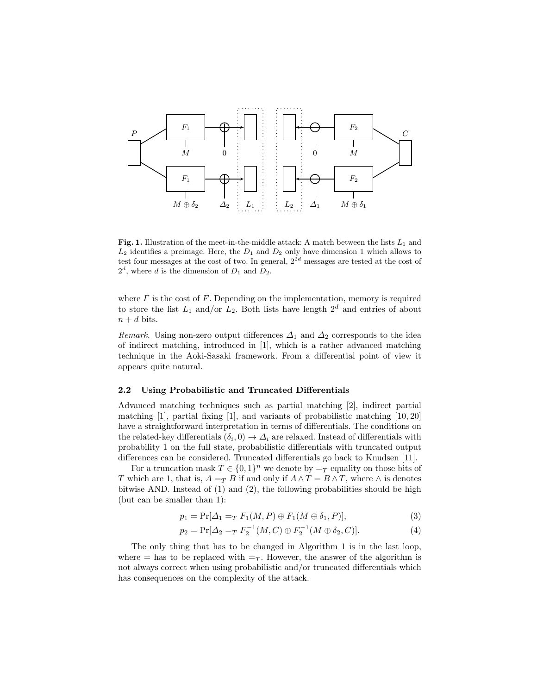

Fig. 1. Illustration of the meet-in-the-middle attack: A match between the lists  $L_1$  and  $L_2$  identifies a preimage. Here, the  $D_1$  and  $D_2$  only have dimension 1 which allows to test four messages at the cost of two. In general,  $2^{2d}$  messages are tested at the cost of  $2^d$ , where d is the dimension of  $D_1$  and  $D_2$ .

where  $\Gamma$  is the cost of  $F$ . Depending on the implementation, memory is required to store the list  $L_1$  and/or  $L_2$ . Both lists have length  $2^d$  and entries of about  $n + d$  bits.

Remark. Using non-zero output differences  $\Delta_1$  and  $\Delta_2$  corresponds to the idea of indirect matching, introduced in [1], which is a rather advanced matching technique in the Aoki-Sasaki framework. From a differential point of view it appears quite natural.

#### 2.2 Using Probabilistic and Truncated Differentials

Advanced matching techniques such as partial matching [2], indirect partial matching  $[1]$ , partial fixing  $[1]$ , and variants of probabilistic matching  $[10, 20]$ have a straightforward interpretation in terms of differentials. The conditions on the related-key differentials  $(\delta_i, 0) \to \Delta_i$  are relaxed. Instead of differentials with probability 1 on the full state, probabilistic differentials with truncated output differences can be considered. Truncated differentials go back to Knudsen [11].

For a truncation mask  $T \in \{0,1\}^n$  we denote by  $=_T$  equality on those bits of T which are 1, that is,  $A =_T B$  if and only if  $A \wedge T = B \wedge T$ , where  $\wedge$  is denotes bitwise AND. Instead of (1) and (2), the following probabilities should be high (but can be smaller than 1):

$$
p_1 = \Pr[\Delta_1 =_T F_1(M, P) \oplus F_1(M \oplus \delta_1, P)],\tag{3}
$$

$$
p_2 = \Pr[\Delta_2 = T F_2^{-1}(M, C) \oplus F_2^{-1}(M \oplus \delta_2, C)].
$$
\n(4)

The only thing that has to be changed in Algorithm 1 is in the last loop, where  $=$  has to be replaced with  $=\tau$ . However, the answer of the algorithm is not always correct when using probabilistic and/or truncated differentials which has consequences on the complexity of the attack.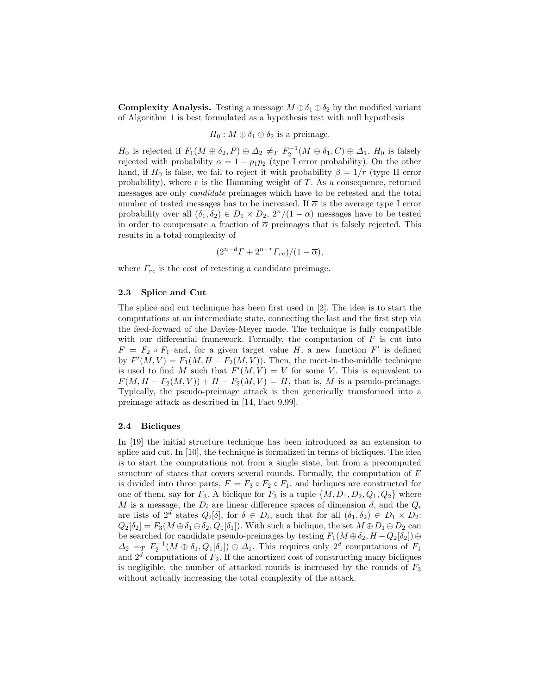**Complexity Analysis.** Testing a message  $M \oplus \delta_1 \oplus \delta_2$  by the modified variant of Algorithm 1 is best formulated as a hypothesis test with null hypothesis

$$
H_0: M \oplus \delta_1 \oplus \delta_2
$$
 is a preimage.

 $H_0$  is rejected if  $F_1(M \oplus \delta_2, P) \oplus \Delta_2 \neq_T F_2^{-1}(M \oplus \delta_1, C) \oplus \Delta_1$ .  $H_0$  is falsely rejected with probability  $\alpha = 1 - p_1 p_2$  (type I error probability). On the other hand, if  $H_0$  is false, we fail to reject it with probability  $\beta = 1/r$  (type II error probability), where  $r$  is the Hamming weight of  $T$ . As a consequence, returned messages are only candidate preimages which have to be retested and the total number of tested messages has to be increased. If  $\bar{\alpha}$  is the average type I error probability over all  $(\delta_1, \delta_2) \in D_1 \times D_2$ ,  $2^n/(1 - \overline{\alpha})$  messages have to be tested in order to compensate a fraction of  $\overline{\alpha}$  preimages that is falsely rejected. This results in a total complexity of

$$
(2^{n-d}\Gamma+2^{n-r}\Gamma_{re})/(1-\overline{\alpha}),
$$

where  $\Gamma_{re}$  is the cost of retesting a candidate preimage.

#### 2.3 Splice and Cut

The splice and cut technique has been first used in [2]. The idea is to start the computations at an intermediate state, connecting the last and the first step via the feed-forward of the Davies-Meyer mode. The technique is fully compatible with our differential framework. Formally, the computation of  $F$  is cut into  $F = F_2 \circ F_1$  and, for a given target value H, a new function  $F'$  is defined by  $F'(M, V) = F_1(M, H - F_2(M, V))$ . Then, the meet-in-the-middle technique is used to find M such that  $F'(M, V) = V$  for some V. This is equivalent to  $F(M, H - F_2(M, V)) + H - F_2(M, V) = H$ , that is, M is a pseudo-preimage. Typically, the pseudo-preimage attack is then generically transformed into a preimage attack as described in [14, Fact 9.99].

#### 2.4 Bicliques

In [19] the initial structure technique has been introduced as an extension to splice and cut. In [10], the technique is formalized in terms of bicliques. The idea is to start the computations not from a single state, but from a precomputed structure of states that covers several rounds. Formally, the computation of F is divided into three parts,  $F = F_3 \circ F_2 \circ F_1$ , and bicliques are constructed for one of them, say for  $F_3$ . A biclique for  $F_3$  is a tuple  $\{M, D_1, D_2, Q_1, Q_2\}$  where M is a message, the  $D_i$  are linear difference spaces of dimension d, and the  $Q_i$ are lists of  $2^d$  states  $Q_i[\delta]$ , for  $\delta \in D_i$ , such that for all  $(\delta_1, \delta_2) \in D_1 \times D_2$ :  $Q_2[\delta_2] = F_3(M \oplus \delta_1 \oplus \delta_2, Q_1[\delta_1])$ . With such a biclique, the set  $M \oplus D_1 \oplus D_2$  can be searched for candidate pseudo-preimages by testing  $F_1(M \oplus \delta_2, H - Q_2[\delta_2]) \oplus$  $\Delta_2 = T \ F_2^{-1}(M \oplus \delta_1, Q_1[\delta_1]) \oplus \Delta_1$ . This requires only  $2^d$  computations of  $F_1$ and  $2^d$  computations of  $F_2$ . If the amortized cost of constructing many bicliques is negligible, the number of attacked rounds is increased by the rounds of  $F_3$ without actually increasing the total complexity of the attack.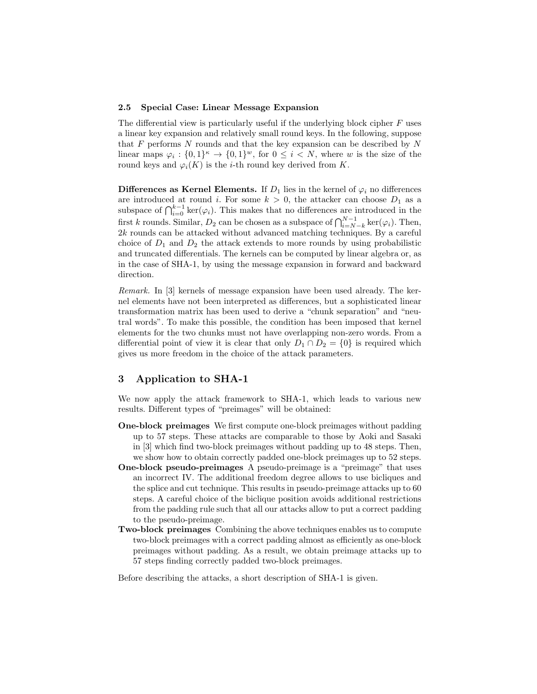#### 2.5 Special Case: Linear Message Expansion

The differential view is particularly useful if the underlying block cipher  $F$  uses a linear key expansion and relatively small round keys. In the following, suppose that  $F$  performs  $N$  rounds and that the key expansion can be described by  $N$ linear maps  $\varphi_i: \{0,1\}^{\kappa} \to \{0,1\}^w$ , for  $0 \leq i \lt N$ , where w is the size of the round keys and  $\varphi_i(K)$  is the *i*-th round key derived from K.

**Differences as Kernel Elements.** If  $D_1$  lies in the kernel of  $\varphi_i$  no differences are introduced at round i. For some  $k > 0$ , the attacker can choose  $D_1$  as a subspace of  $\bigcap_{i=0}^{k-1}$  ker( $\varphi_i$ ). This makes that no differences are introduced in the first k rounds. Similar,  $D_2$  can be chosen as a subspace of  $\bigcap_{i=N-k}^{N-1} \ker(\varphi_i)$ . Then, 2k rounds can be attacked without advanced matching techniques. By a careful choice of  $D_1$  and  $D_2$  the attack extends to more rounds by using probabilistic and truncated differentials. The kernels can be computed by linear algebra or, as in the case of SHA-1, by using the message expansion in forward and backward direction.

Remark. In [3] kernels of message expansion have been used already. The kernel elements have not been interpreted as differences, but a sophisticated linear transformation matrix has been used to derive a "chunk separation" and "neutral words". To make this possible, the condition has been imposed that kernel elements for the two chunks must not have overlapping non-zero words. From a differential point of view it is clear that only  $D_1 \cap D_2 = \{0\}$  is required which gives us more freedom in the choice of the attack parameters.

# 3 Application to SHA-1

We now apply the attack framework to SHA-1, which leads to various new results. Different types of "preimages" will be obtained:

- One-block preimages We first compute one-block preimages without padding up to 57 steps. These attacks are comparable to those by Aoki and Sasaki in [3] which find two-block preimages without padding up to 48 steps. Then, we show how to obtain correctly padded one-block preimages up to 52 steps.
- One-block pseudo-preimages A pseudo-preimage is a "preimage" that uses an incorrect IV. The additional freedom degree allows to use bicliques and the splice and cut technique. This results in pseudo-preimage attacks up to 60 steps. A careful choice of the biclique position avoids additional restrictions from the padding rule such that all our attacks allow to put a correct padding to the pseudo-preimage.
- Two-block preimages Combining the above techniques enables us to compute two-block preimages with a correct padding almost as efficiently as one-block preimages without padding. As a result, we obtain preimage attacks up to 57 steps finding correctly padded two-block preimages.

Before describing the attacks, a short description of SHA-1 is given.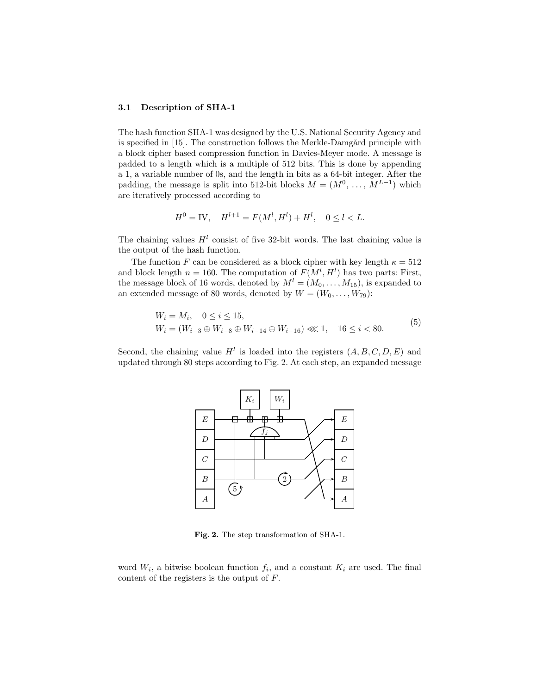#### 3.1 Description of SHA-1

The hash function SHA-1 was designed by the U.S. National Security Agency and is specified in [15]. The construction follows the Merkle-Damgård principle with a block cipher based compression function in Davies-Meyer mode. A message is padded to a length which is a multiple of 512 bits. This is done by appending a 1, a variable number of 0s, and the length in bits as a 64-bit integer. After the padding, the message is split into 512-bit blocks  $M = (M^0, \ldots, M^{L-1})$  which are iteratively processed according to

$$
H^{0} = \text{IV}, \quad H^{l+1} = F(M^{l}, H^{l}) + H^{l}, \quad 0 \le l < L.
$$

The chaining values  $H^l$  consist of five 32-bit words. The last chaining value is the output of the hash function.

The function F can be considered as a block cipher with key length  $\kappa = 512$ and block length  $n = 160$ . The computation of  $F(M^l, H^l)$  has two parts: First, the message block of 16 words, denoted by  $M^l = (M_0, \ldots, M_{15})$ , is expanded to an extended message of 80 words, denoted by  $W = (W_0, \ldots, W_{79})$ :

$$
W_i = M_i, \quad 0 \le i \le 15,
$$
  
\n
$$
W_i = (W_{i-3} \oplus W_{i-8} \oplus W_{i-14} \oplus W_{i-16}) \lll 1, \quad 16 \le i < 80.
$$
\n<sup>(5)</sup>

Second, the chaining value  $H^l$  is loaded into the registers  $(A, B, C, D, E)$  and updated through 80 steps according to Fig. 2. At each step, an expanded message



Fig. 2. The step transformation of SHA-1.

word  $W_i$ , a bitwise boolean function  $f_i$ , and a constant  $K_i$  are used. The final content of the registers is the output of F.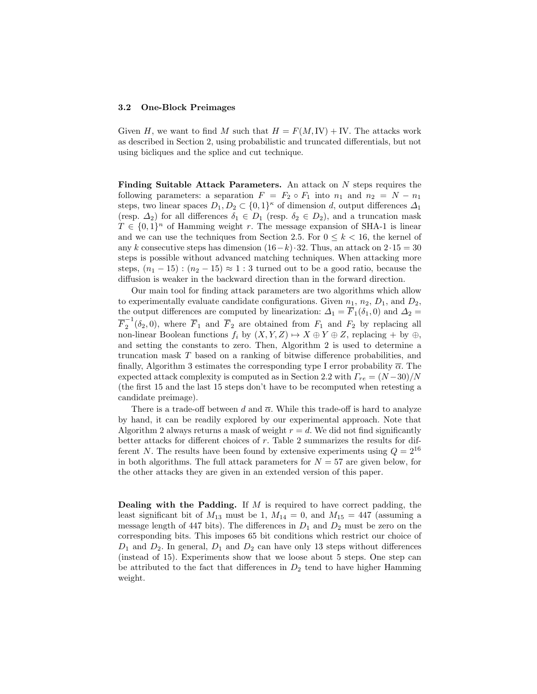#### 3.2 One-Block Preimages

Given H, we want to find M such that  $H = F(M,\mathbb{I}V) + \mathbb{I}V$ . The attacks work as described in Section 2, using probabilistic and truncated differentials, but not using bicliques and the splice and cut technique.

**Finding Suitable Attack Parameters.** An attack on  $N$  steps requires the following parameters: a separation  $F = F_2 \circ F_1$  into  $n_1$  and  $n_2 = N - n_1$ steps, two linear spaces  $D_1, D_2 \subset \{0,1\}^{\kappa}$  of dimension d, output differences  $\Delta_1$ (resp.  $\Delta_2$ ) for all differences  $\delta_1 \in D_1$  (resp.  $\delta_2 \in D_2$ ), and a truncation mask  $T \in \{0,1\}^n$  of Hamming weight r. The message expansion of SHA-1 is linear and we can use the techniques from Section 2.5. For  $0 \le k \le 16$ , the kernel of any k consecutive steps has dimension  $(16-k) \cdot 32$ . Thus, an attack on  $2 \cdot 15 = 30$ steps is possible without advanced matching techniques. When attacking more steps,  $(n_1 - 15)$ :  $(n_2 - 15) \approx 1$ : 3 turned out to be a good ratio, because the diffusion is weaker in the backward direction than in the forward direction.

Our main tool for finding attack parameters are two algorithms which allow to experimentally evaluate candidate configurations. Given  $n_1$ ,  $n_2$ ,  $D_1$ , and  $D_2$ , the output differences are computed by linearization:  $\Delta_1 = F_1(\delta_1, 0)$  and  $\Delta_2 =$  $\overline{F}_2^{-1}$  $_2^{\text{-}}(\delta_2, 0)$ , where  $F_1$  and  $F_2$  are obtained from  $F_1$  and  $F_2$  by replacing all non-linear Boolean functions  $f_i$  by  $(X, Y, Z) \mapsto X \oplus Y \oplus Z$ , replacing + by  $\oplus$ , and setting the constants to zero. Then, Algorithm 2 is used to determine a truncation mask T based on a ranking of bitwise difference probabilities, and finally, Algorithm 3 estimates the corresponding type I error probability  $\bar{\alpha}$ . The expected attack complexity is computed as in Section 2.2 with  $\Gamma_{re} = (N-30)/N$ (the first 15 and the last 15 steps don't have to be recomputed when retesting a candidate preimage).

There is a trade-off between d and  $\overline{\alpha}$ . While this trade-off is hard to analyze by hand, it can be readily explored by our experimental approach. Note that Algorithm 2 always returns a mask of weight  $r = d$ . We did not find significantly better attacks for different choices of  $r$ . Table 2 summarizes the results for different N. The results have been found by extensive experiments using  $Q = 2^{16}$ in both algorithms. The full attack parameters for  $N = 57$  are given below, for the other attacks they are given in an extended version of this paper.

**Dealing with the Padding.** If  $M$  is required to have correct padding, the least significant bit of  $M_{13}$  must be 1,  $M_{14} = 0$ , and  $M_{15} = 447$  (assuming a message length of 447 bits). The differences in  $D_1$  and  $D_2$  must be zero on the corresponding bits. This imposes 65 bit conditions which restrict our choice of  $D_1$  and  $D_2$ . In general,  $D_1$  and  $D_2$  can have only 13 steps without differences (instead of 15). Experiments show that we loose about 5 steps. One step can be attributed to the fact that differences in  $D_2$  tend to have higher Hamming weight.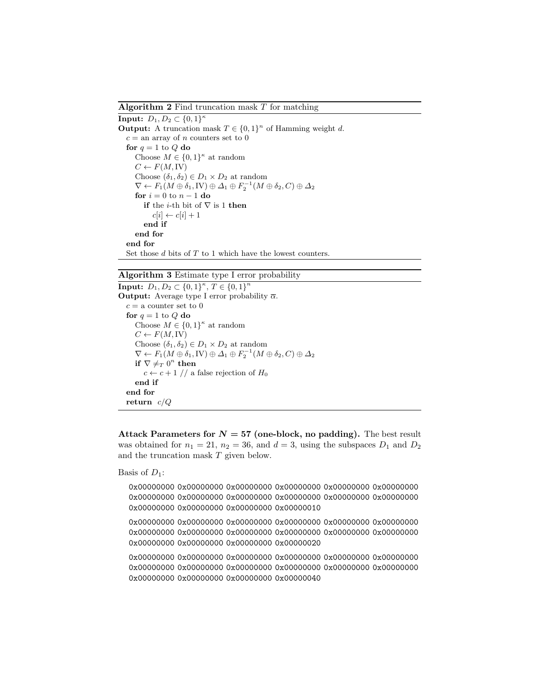**Algorithm 2** Find truncation mask  $T$  for matching

**Input:**  $D_1, D_2 \subset \{0, 1\}^{\kappa}$ **Output:** A truncation mask  $T \in \{0,1\}^n$  of Hamming weight d.  $c =$  an array of n counters set to 0 for  $q = 1$  to Q do Choose  $M \in \{0,1\}^{\kappa}$  at random  $C \leftarrow F(M, IV)$ Choose  $(\delta_1, \delta_2) \in D_1 \times D_2$  at random  $\nabla \leftarrow F_1(M \oplus \delta_1, \textrm{IV}) \oplus \overline{ \Delta_1} \oplus F_2^{-1}(M \oplus \delta_2, C) \oplus \overline{ \Delta_2}$ for  $i = 0$  to  $n - 1$  do if the *i*-th bit of  $\nabla$  is 1 then  $c[i] \leftarrow c[i] + 1$ end if end for end for Set those  $d$  bits of  $T$  to 1 which have the lowest counters.

### Algorithm 3 Estimate type I error probability

**Input:**  $D_1, D_2 \subset \{0, 1\}^{\kappa}, T \in \{0, 1\}^n$ **Output:** Average type I error probability  $\overline{\alpha}$ .  $c = a$  counter set to 0 for  $q = 1$  to Q do Choose  $M \in \{0,1\}^{\kappa}$  at random  $C \leftarrow F(M,IV)$ Choose  $(\delta_1, \delta_2) \in D_1 \times D_2$  at random  $\nabla \leftarrow F_1(M \oplus \delta_1, \mathrm{IV}) \oplus \varDelta_1 \oplus F_2^{-1}(M \oplus \delta_2, C) \oplus \varDelta_2$ if  $\nabla \neq_T 0^n$  then  $c \leftarrow c + 1$  // a false rejection of  $H_0$ end if end for return c/Q

Attack Parameters for  $N = 57$  (one-block, no padding). The best result was obtained for  $n_1 = 21$ ,  $n_2 = 36$ , and  $d = 3$ , using the subspaces  $D_1$  and  $D_2$ and the truncation mask T given below.

Basis of  $D_1$ :

0x00000000 0x00000000 0x00000000 0x00000000 0x00000000 0x00000000 0x00000000 0x00000000 0x00000000 0x00000000 0x00000000 0x00000000 0x00000000 0x00000000 0x00000000 0x00000010

0x00000000 0x00000000 0x00000000 0x00000000 0x00000000 0x00000000 0x00000000 0x00000000 0x00000000 0x00000000 0x00000000 0x00000000 0x00000000 0x00000000 0x00000000 0x00000020

0x00000000 0x00000000 0x00000000 0x00000000 0x00000000 0x00000000 0x00000000 0x00000000 0x00000000 0x00000000 0x00000000 0x00000000 0x00000000 0x00000000 0x00000000 0x00000040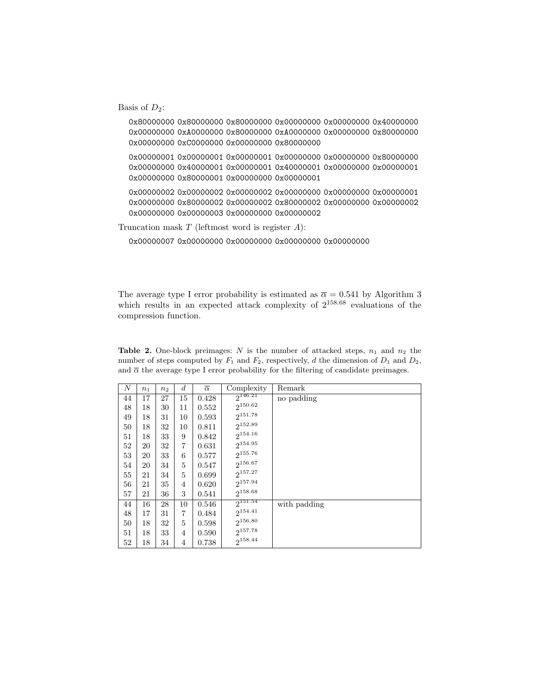Basis of  $D_2$ :

0x80000000 0x80000000 0x80000000 0x00000000 0x00000000 0x40000000 0x00000000 0xA0000000 0x80000000 0xA0000000 0x00000000 0x80000000 0x00000000 0xC0000000 0x00000000 0x80000000 0x00000001 0x00000001 0x00000001 0x00000000 0x00000000 0x80000000 0x00000000 0x40000001 0x00000001 0x40000001 0x00000000 0x00000001 0x00000000 0x80000001 0x00000000 0x00000001 0x00000002 0x00000002 0x00000002 0x00000000 0x00000000 0x00000001

0x00000000 0x80000002 0x00000002 0x80000002 0x00000000 0x00000002 0x00000000 0x00000003 0x00000000 0x00000002

Truncation mask  $T$  (leftmost word is register  $A$ ):

0x00000007 0x00000000 0x00000000 0x00000000 0x00000000

The average type I error probability is estimated as  $\bar{\alpha} = 0.541$  by Algorithm 3 which results in an expected attack complexity of  $2^{158.68}$  evaluations of the compression function.

Table 2. One-block preimages: N is the number of attacked steps,  $n_1$  and  $n_2$  the number of steps computed by  $F_1$  and  $F_2$ , respectively, d the dimension of  $D_1$  and  $D_2$ , and  $\bar{\alpha}$  the average type I error probability for the filtering of candidate preimages.

| Ν  | $n_1$ | $n_2$ | $\boldsymbol{d}$ | $\overline{\alpha}$ | Complexity          | Remark       |
|----|-------|-------|------------------|---------------------|---------------------|--------------|
| 44 | 17    | 27    | 15               | 0.428               | $2^{146.21}$        | no padding   |
| 48 | 18    | 30    | 11               | 0.552               | $2^{150.62}$        |              |
| 49 | 18    | 31    | 10               | 0.593               | $2^{151.78}$        |              |
| 50 | 18    | 32    | 10               | 0.811               | 2152.89             |              |
| 51 | 18    | 33    | 9                | 0.842               | $2^{154.16}$        |              |
| 52 | 20    | 32    | 7                | 0.631               | $2^{154.95}$        |              |
| 53 | 20    | 33    | 6                | 0.577               | $2^{155.76}$        |              |
| 54 | 20    | 34    | 5                | 0.547               | $2^{156.67}$        |              |
| 55 | 21    | 34    | 5                | 0.699               | $2^{157.27}$        |              |
| 56 | 21    | 35    | 4                | 0.620               | 2157.94             |              |
| 57 | 21    | 36    | 3                | 0.541               | $2^{158.68}$        |              |
| 44 | 16    | 28    | 10               | 0.546               | $2^{151.54}$        | with padding |
| 48 | 17    | 31    | 7                | 0.484               | $2^{154.41}$        |              |
| 50 | 18    | 32    | $\overline{5}$   | 0.598               | $2^{156.80}$        |              |
| 51 | 18    | 33    | 4                | 0.590               | $2^{157.78}$        |              |
| 52 | 18    | 34    | 4                | 0.738               | 2 <sup>158.44</sup> |              |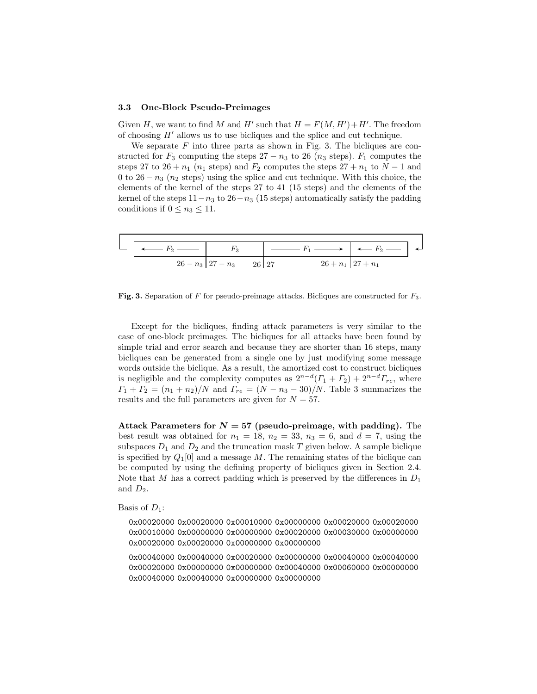#### 3.3 One-Block Pseudo-Preimages

Given H, we want to find M and H' such that  $H = F(M, H') + H'$ . The freedom of choosing  $H'$  allows us to use bicliques and the splice and cut technique.

We separate  $F$  into three parts as shown in Fig. 3. The bicliques are constructed for  $F_3$  computing the steps 27 − n<sub>3</sub> to 26 (n<sub>3</sub> steps).  $F_1$  computes the steps 27 to 26 +  $n_1$  ( $n_1$  steps) and  $F_2$  computes the steps 27 +  $n_1$  to  $N-1$  and 0 to 26 −  $n_3$  ( $n_2$  steps) using the splice and cut technique. With this choice, the elements of the kernel of the steps 27 to 41 (15 steps) and the elements of the kernel of the steps  $11-n_3$  to  $26-n_3$  (15 steps) automatically satisfy the padding conditions if  $0 \le n_3 \le 11$ .



Fig. 3. Separation of F for pseudo-preimage attacks. Bicliques are constructed for  $F_3$ .

Except for the bicliques, finding attack parameters is very similar to the case of one-block preimages. The bicliques for all attacks have been found by simple trial and error search and because they are shorter than 16 steps, many bicliques can be generated from a single one by just modifying some message words outside the biclique. As a result, the amortized cost to construct bicliques is negligible and the complexity computes as  $2^{n-d}(\Gamma_1 + \Gamma_2) + 2^{n-d}\Gamma_{re}$ , where  $\Gamma_1 + \Gamma_2 = (n_1 + n_2)/N$  and  $\Gamma_{re} = (N - n_3 - 30)/N$ . Table 3 summarizes the results and the full parameters are given for  $N = 57$ .

Attack Parameters for  $N = 57$  (pseudo-preimage, with padding). The best result was obtained for  $n_1 = 18$ ,  $n_2 = 33$ ,  $n_3 = 6$ , and  $d = 7$ , using the subspaces  $D_1$  and  $D_2$  and the truncation mask T given below. A sample biclique is specified by  $Q_1[0]$  and a message M. The remaining states of the biclique can be computed by using the defining property of bicliques given in Section 2.4. Note that M has a correct padding which is preserved by the differences in  $D_1$ and  $D_2$ .

Basis of  $D_1$ :

0x00020000 0x00020000 0x00010000 0x00000000 0x00020000 0x00020000 0x00010000 0x00000000 0x00000000 0x00020000 0x00030000 0x00000000 0x00020000 0x00020000 0x00000000 0x00000000

0x00040000 0x00040000 0x00020000 0x00000000 0x00040000 0x00040000 0x00020000 0x00000000 0x00000000 0x00040000 0x00060000 0x00000000 0x00040000 0x00040000 0x00000000 0x00000000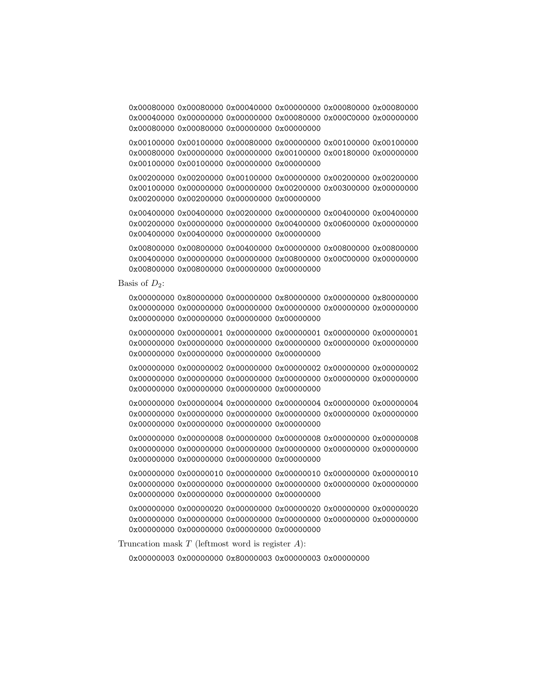0x00080000 0x00080000 0x00040000 0x00000000 0x00080000 0x00080000 0x00040000 0x00000000 0x00000000 0x00080000 0x000C0000 0x00000000 0x00080000 0x00080000 0x00000000 0x00000000

0x00100000 0x00100000 0x00080000 0x00000000 0x00100000 0x00100000 0x00080000 0x00000000 0x00000000 0x00100000 0x00180000 0x00000000 0x00100000 0x00100000 0x00000000 0x00000000

0x00200000 0x00200000 0x00100000 0x00000000 0x00200000 0x00200000 0x00100000 0x00000000 0x00000000 0x00200000 0x00300000 0x00000000 0x00200000 0x00200000 0x00000000 0x00000000

0x00400000 0x00400000 0x00200000 0x00000000 0x00400000 0x00400000 0x00200000 0x00000000 0x00000000 0x00400000 0x00600000 0x00000000 0x00400000 0x00400000 0x00000000 0x00000000

0x00800000 0x00800000 0x00400000 0x00000000 0x00800000 0x00800000 0x00400000 0x00000000 0x00000000 0x00800000 0x00C00000 0x00000000 0x00800000 0x00800000 0x00000000 0x00000000

Basis of  $D_2$ :

0x00000000 0x80000000 0x00000000 0x80000000 0x00000000 0x80000000 0x00000000 0x00000000 0x00000000 0x00000000 0x00000000 0x00000000 0x00000000 0x00000000 0x00000000 0x00000000

0x00000000 0x00000001 0x00000000 0x00000001 0x00000000 0x00000001 0x00000000 0x00000000 0x00000000 0x00000000 0x00000000 0x00000000 0x00000000 0x00000000 0x00000000 0x00000000

0x00000000 0x00000002 0x00000000 0x00000002 0x00000000 0x00000002 0x00000000 0x00000000 0x00000000 0x00000000 0x00000000 0x00000000 0x00000000 0x00000000 0x00000000 0x00000000

0x00000000 0x00000004 0x00000000 0x00000004 0x00000000 0x00000004 0x00000000 0x00000000 0x00000000 0x00000000 0x00000000 0x00000000 0x00000000 0x00000000 0x00000000 0x00000000

0x00000000 0x00000008 0x00000000 0x00000008 0x00000000 0x00000008 0x00000000 0x00000000 0x00000000 0x00000000 0x00000000 0x00000000 0x00000000 0x00000000 0x00000000 0x00000000

0x00000000 0x00000010 0x00000000 0x00000010 0x00000000 0x00000010 0x00000000 0x00000000 0x00000000 0x00000000 0x00000000 0x00000000 0x00000000 0x00000000 0x00000000 0x00000000

0x00000000 0x00000020 0x00000000 0x00000020 0x00000000 0x00000020 0x00000000 0x00000000 0x00000000 0x00000000 0x00000000 0x00000000 0x00000000 0x00000000 0x00000000 0x00000000

Truncation mask  $T$  (leftmost word is register  $A$ ):

0x00000003 0x00000000 0x80000003 0x00000003 0x00000000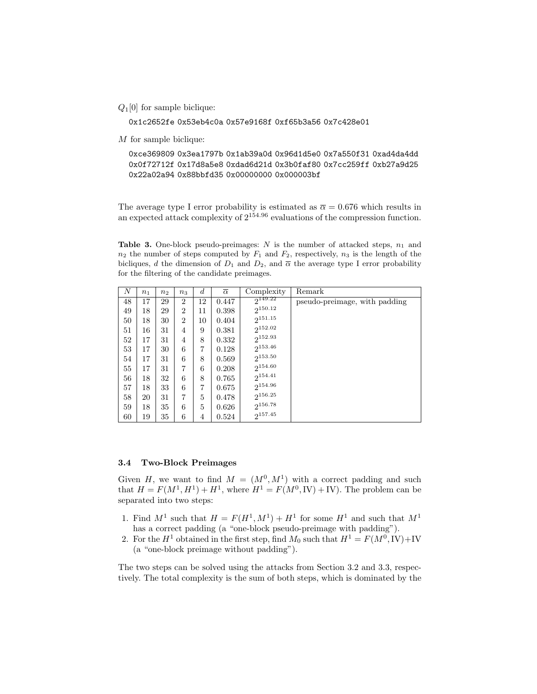$Q_1[0]$  for sample biclique:

0x1c2652fe 0x53eb4c0a 0x57e9168f 0xf65b3a56 0x7c428e01

M for sample biclique:

0xce369809 0x3ea1797b 0x1ab39a0d 0x96d1d5e0 0x7a550f31 0xad4da4dd 0x0f72712f 0x17d8a5e8 0xdad6d21d 0x3b0faf80 0x7cc259ff 0xb27a9d25 0x22a02a94 0x88bbfd35 0x00000000 0x000003bf

The average type I error probability is estimated as  $\bar{\alpha} = 0.676$  which results in an expected attack complexity of  $2^{154.96}$  evaluations of the compression function.

Table 3. One-block pseudo-preimages:  $N$  is the number of attacked steps,  $n_1$  and  $n_2$  the number of steps computed by  $F_1$  and  $F_2$ , respectively,  $n_3$  is the length of the bicliques, d the dimension of  $D_1$  and  $D_2$ , and  $\overline{\alpha}$  the average type I error probability for the filtering of the candidate preimages.

| N  | n <sub>1</sub> | n <sub>2</sub> | $n_{3}$          | $\boldsymbol{d}$ | $\overline{\alpha}$ | Complexity   | Remark                        |
|----|----------------|----------------|------------------|------------------|---------------------|--------------|-------------------------------|
| 48 | 17             | 29             | $\overline{2}$   | 12               | 0.447               | $2^{149.22}$ | pseudo-preimage, with padding |
| 49 | 18             | 29             | $\boldsymbol{2}$ | 11               | 0.398               | $2^{150.12}$ |                               |
| 50 | 18             | 30             | $\overline{2}$   | 10               | 0.404               | $2^{151.15}$ |                               |
| 51 | 16             | 31             | $\overline{4}$   | 9                | 0.381               | $2^{152.02}$ |                               |
| 52 | 17             | 31             | 4                | 8                | 0.332               | $2^{152.93}$ |                               |
| 53 | 17             | 30             | 6                | 7                | 0.128               | $2^{153.46}$ |                               |
| 54 | 17             | 31             | 6                | 8                | 0.569               | $2^{153.50}$ |                               |
| 55 | 17             | 31             | 7                | 6                | 0.208               | $2^{154.60}$ |                               |
| 56 | 18             | 32             | 6                | 8                | 0.765               | $2^{154.41}$ |                               |
| 57 | 18             | 33             | 6                | 7                | 0.675               | $2^{154.96}$ |                               |
| 58 | 20             | 31             | 7                | 5                | 0.478               | $2^{156.25}$ |                               |
| 59 | 18             | 35             | 6                | 5                | 0.626               | 2156.78      |                               |
| 60 | 19             | 35             | 6                | 4                | 0.524               | $2^{157.45}$ |                               |

### 3.4 Two-Block Preimages

Given H, we want to find  $M = (M^0, M^1)$  with a correct padding and such that  $H = F(M^1, H^1) + H^1$ , where  $H^1 = F(M^0, IV) + IV$ . The problem can be separated into two steps:

- 1. Find  $M^1$  such that  $H = F(H^1, M^1) + H^1$  for some  $H^1$  and such that  $M^1$ has a correct padding (a "one-block pseudo-preimage with padding").
- 2. For the  $H^1$  obtained in the first step, find  $M_0$  such that  $H^1 = F(M^0, IV) + IV$ (a "one-block preimage without padding").

The two steps can be solved using the attacks from Section 3.2 and 3.3, respectively. The total complexity is the sum of both steps, which is dominated by the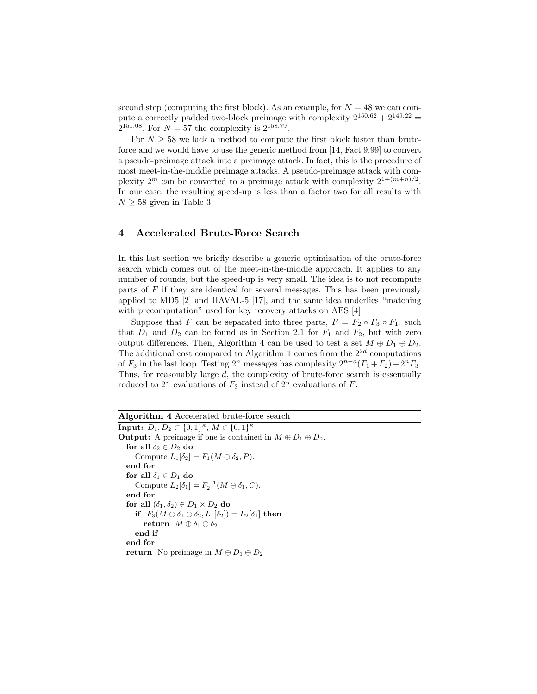second step (computing the first block). As an example, for  $N = 48$  we can compute a correctly padded two-block preimage with complexity  $2^{150.62} + 2^{149.22} =$  $2^{151.08}$ . For  $N = 57$  the complexity is  $2^{158.79}$ .

For  $N \geq 58$  we lack a method to compute the first block faster than bruteforce and we would have to use the generic method from [14, Fact 9.99] to convert a pseudo-preimage attack into a preimage attack. In fact, this is the procedure of most meet-in-the-middle preimage attacks. A pseudo-preimage attack with complexity  $2^m$  can be converted to a preimage attack with complexity  $2^{1+(m+n)/2}$ . In our case, the resulting speed-up is less than a factor two for all results with  $N \geq 58$  given in Table 3.

### 4 Accelerated Brute-Force Search

In this last section we briefly describe a generic optimization of the brute-force search which comes out of the meet-in-the-middle approach. It applies to any number of rounds, but the speed-up is very small. The idea is to not recompute parts of  $F$  if they are identical for several messages. This has been previously applied to MD5 [2] and HAVAL-5 [17], and the same idea underlies "matching with precomputation" used for key recovery attacks on AES [4].

Suppose that F can be separated into three parts,  $F = F_2 \circ F_3 \circ F_1$ , such that  $D_1$  and  $D_2$  can be found as in Section 2.1 for  $F_1$  and  $F_2$ , but with zero output differences. Then, Algorithm 4 can be used to test a set  $M \oplus D_1 \oplus D_2$ . The additional cost compared to Algorithm 1 comes from the  $2^{2d}$  computations of  $F_3$  in the last loop. Testing  $2^n$  messages has complexity  $2^{n-d}(F_1 + F_2) + 2^n F_3$ . Thus, for reasonably large d, the complexity of brute-force search is essentially reduced to  $2^n$  evaluations of  $F_3$  instead of  $2^n$  evaluations of  $F$ .

Algorithm 4 Accelerated brute-force search **Input:**  $D_1, D_2 \subset \{0, 1\}^{\kappa}, M \in \{0, 1\}^{\kappa}$ **Output:** A preimage if one is contained in  $M \oplus D_1 \oplus D_2$ . for all  $\delta_2 \in D_2$  do Compute  $L_1[\delta_2] = F_1(M \oplus \delta_2, P)$ . end for for all  $\delta_1\in D_1$  do Compute  $L_2[\delta_1] = F_2^{-1}(M \oplus \delta_1, C)$ . end for for all  $(\delta_1, \delta_2) \in D_1 \times D_2$  do if  $F_3(M \oplus \delta_1 \oplus \delta_2, L_1[\delta_2]) = L_2[\delta_1]$  then return  $M \oplus \delta_1 \oplus \delta_2$ end if end for return No preimage in  $M \oplus D_1 \oplus D_2$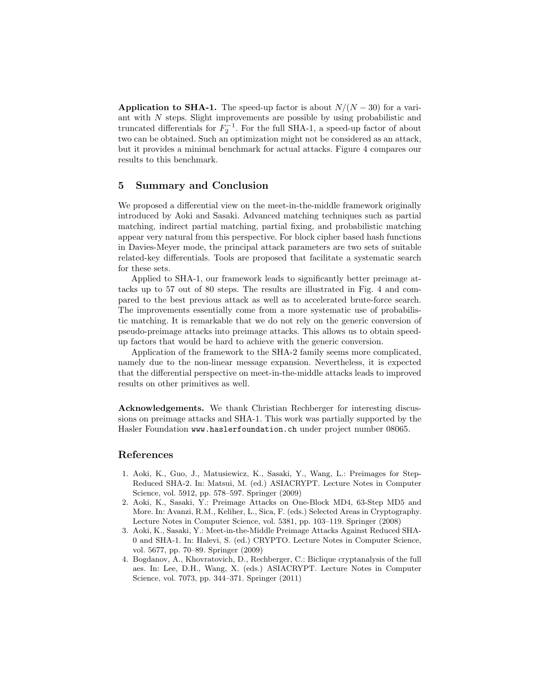Application to SHA-1. The speed-up factor is about  $N/(N-30)$  for a variant with N steps. Slight improvements are possible by using probabilistic and truncated differentials for  $F_2^{-1}$ . For the full SHA-1, a speed-up factor of about two can be obtained. Such an optimization might not be considered as an attack, but it provides a minimal benchmark for actual attacks. Figure 4 compares our results to this benchmark.

## 5 Summary and Conclusion

We proposed a differential view on the meet-in-the-middle framework originally introduced by Aoki and Sasaki. Advanced matching techniques such as partial matching, indirect partial matching, partial fixing, and probabilistic matching appear very natural from this perspective. For block cipher based hash functions in Davies-Meyer mode, the principal attack parameters are two sets of suitable related-key differentials. Tools are proposed that facilitate a systematic search for these sets.

Applied to SHA-1, our framework leads to significantly better preimage attacks up to 57 out of 80 steps. The results are illustrated in Fig. 4 and compared to the best previous attack as well as to accelerated brute-force search. The improvements essentially come from a more systematic use of probabilistic matching. It is remarkable that we do not rely on the generic conversion of pseudo-preimage attacks into preimage attacks. This allows us to obtain speedup factors that would be hard to achieve with the generic conversion.

Application of the framework to the SHA-2 family seems more complicated, namely due to the non-linear message expansion. Nevertheless, it is expected that the differential perspective on meet-in-the-middle attacks leads to improved results on other primitives as well.

Acknowledgements. We thank Christian Rechberger for interesting discussions on preimage attacks and SHA-1. This work was partially supported by the Hasler Foundation www.haslerfoundation.ch under project number 08065.

## References

- 1. Aoki, K., Guo, J., Matusiewicz, K., Sasaki, Y., Wang, L.: Preimages for Step-Reduced SHA-2. In: Matsui, M. (ed.) ASIACRYPT. Lecture Notes in Computer Science, vol. 5912, pp. 578–597. Springer (2009)
- 2. Aoki, K., Sasaki, Y.: Preimage Attacks on One-Block MD4, 63-Step MD5 and More. In: Avanzi, R.M., Keliher, L., Sica, F. (eds.) Selected Areas in Cryptography. Lecture Notes in Computer Science, vol. 5381, pp. 103–119. Springer (2008)
- 3. Aoki, K., Sasaki, Y.: Meet-in-the-Middle Preimage Attacks Against Reduced SHA-0 and SHA-1. In: Halevi, S. (ed.) CRYPTO. Lecture Notes in Computer Science, vol. 5677, pp. 70–89. Springer (2009)
- 4. Bogdanov, A., Khovratovich, D., Rechberger, C.: Biclique cryptanalysis of the full aes. In: Lee, D.H., Wang, X. (eds.) ASIACRYPT. Lecture Notes in Computer Science, vol. 7073, pp. 344–371. Springer (2011)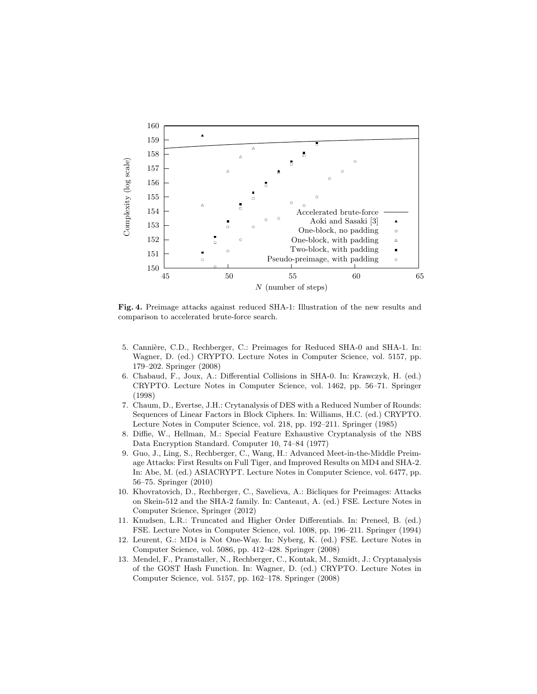

Fig. 4. Preimage attacks against reduced SHA-1: Illustration of the new results and comparison to accelerated brute-force search.

- 5. Cannière, C.D., Rechberger, C.: Preimages for Reduced SHA-0 and SHA-1. In: Wagner, D. (ed.) CRYPTO. Lecture Notes in Computer Science, vol. 5157, pp. 179–202. Springer (2008)
- 6. Chabaud, F., Joux, A.: Differential Collisions in SHA-0. In: Krawczyk, H. (ed.) CRYPTO. Lecture Notes in Computer Science, vol. 1462, pp. 56–71. Springer (1998)
- 7. Chaum, D., Evertse, J.H.: Crytanalysis of DES with a Reduced Number of Rounds: Sequences of Linear Factors in Block Ciphers. In: Williams, H.C. (ed.) CRYPTO. Lecture Notes in Computer Science, vol. 218, pp. 192–211. Springer (1985)
- 8. Diffie, W., Hellman, M.: Special Feature Exhaustive Cryptanalysis of the NBS Data Encryption Standard. Computer 10, 74–84 (1977)
- 9. Guo, J., Ling, S., Rechberger, C., Wang, H.: Advanced Meet-in-the-Middle Preimage Attacks: First Results on Full Tiger, and Improved Results on MD4 and SHA-2. In: Abe, M. (ed.) ASIACRYPT. Lecture Notes in Computer Science, vol. 6477, pp. 56–75. Springer (2010)
- 10. Khovratovich, D., Rechberger, C., Savelieva, A.: Bicliques for Preimages: Attacks on Skein-512 and the SHA-2 family. In: Canteaut, A. (ed.) FSE. Lecture Notes in Computer Science, Springer (2012)
- 11. Knudsen, L.R.: Truncated and Higher Order Differentials. In: Preneel, B. (ed.) FSE. Lecture Notes in Computer Science, vol. 1008, pp. 196–211. Springer (1994)
- 12. Leurent, G.: MD4 is Not One-Way. In: Nyberg, K. (ed.) FSE. Lecture Notes in Computer Science, vol. 5086, pp. 412–428. Springer (2008)
- 13. Mendel, F., Pramstaller, N., Rechberger, C., Kontak, M., Szmidt, J.: Cryptanalysis of the GOST Hash Function. In: Wagner, D. (ed.) CRYPTO. Lecture Notes in Computer Science, vol. 5157, pp. 162–178. Springer (2008)